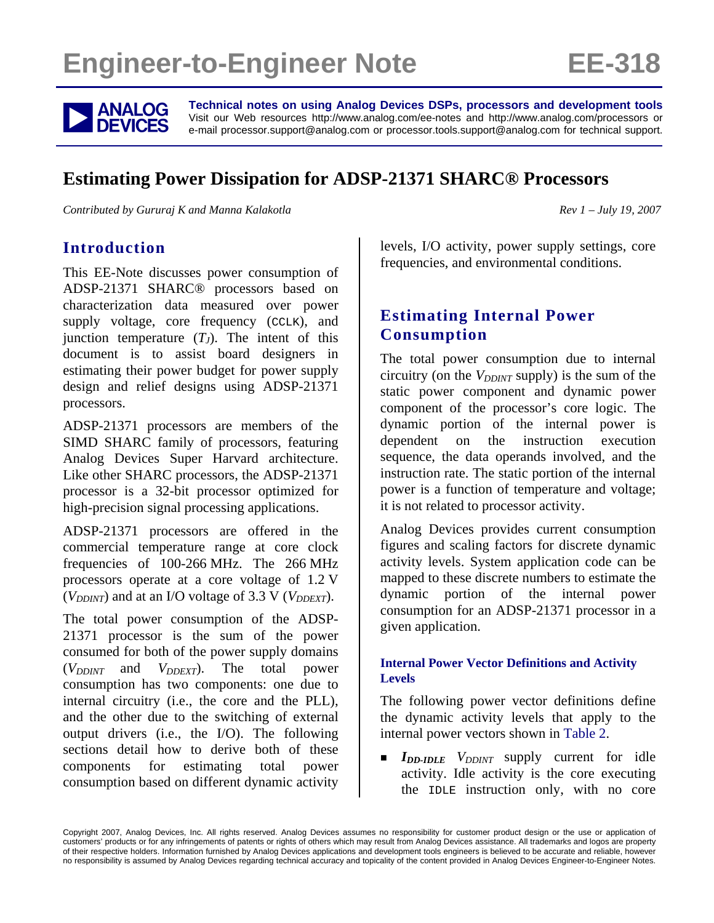# **Engineer-to-Engineer Note EE-318**



**ANALOG** Technical notes on using Analog Devices DSPs, processors and development tools<br>DEVICES visit our Web resources http://www.analog.com/ee-notes and http://www.analog.com/processors or<br>DEVICES e-mail processor.suppor Visit our Web resources http://www.analog.com/ee-notes and http://www.analog.com/processors or e-mail processor.support@analog.com or processor.tools.support@analog.com for technical support.

# **Estimating Power Dissipation for ADSP-21371 SHARC® Processors**

*Contributed by Gururaj K and Manna Kalakotla Rev 1 – July 19, 2007* 

## **Introduction**

This EE-Note discusses power consumption of ADSP-21371 SHARC® processors based on characterization data measured over power supply voltage, core frequency (CCLK), and junction temperature  $(T_J)$ . The intent of this document is to assist board designers in estimating their power budget for power supply design and relief designs using ADSP-21371 processors.

ADSP-21371 processors are members of the SIMD SHARC family of processors, featuring Analog Devices Super Harvard architecture. Like other SHARC processors, the ADSP-21371 processor is a 32-bit processor optimized for high-precision signal processing applications.

ADSP-21371 processors are offered in the commercial temperature range at core clock frequencies of 100-266 MHz. The 266 MHz processors operate at a core voltage of 1.2 V  $(V_{DDINT})$  and at an I/O voltage of 3.3 V ( $V_{DDEXT}$ ).

The total power consumption of the ADSP-21371 processor is the sum of the power consumed for both of the power supply domains  $(V_{DDINT}$  and  $V_{DDEXT}$ . The total power consumption has two components: one due to internal circuitry (i.e., the core and the PLL), and the other due to the switching of external output drivers (i.e., the I/O). The following sections detail how to derive both of these components for estimating total power consumption based on different dynamic activity levels, I/O activity, power supply settings, core frequencies, and environmental conditions.

# **Estimating Internal Power Consumption**

The total power consumption due to internal circuitry (on the  $V_{DDINT}$  supply) is the sum of the static power component and dynamic power component of the processor's core logic. The dynamic portion of the internal power is dependent on the instruction execution sequence, the data operands involved, and the instruction rate. The static portion of the internal power is a function of temperature and voltage; it is not related to processor activity.

Analog Devices provides current consumption figures and scaling factors for discrete dynamic activity levels. System application code can be mapped to these discrete numbers to estimate the dynamic portion of the internal power consumption for an ADSP-21371 processor in a given application.

#### **Internal Power Vector Definitions and Activity Levels**

The following power vector definitions define the dynamic activity levels that apply to the internal power vectors shown in [Table 2.](#page-3-0)

*IDD-IDLE V<sub>DDINT</sub>* supply current for idle activity. Idle activity is the core executing the IDLE instruction only, with no core

Copyright 2007, Analog Devices, Inc. All rights reserved. Analog Devices assumes no responsibility for customer product design or the use or application of customers' products or for any infringements of patents or rights of others which may result from Analog Devices assistance. All trademarks and logos are property of their respective holders. Information furnished by Analog Devices applications and development tools engineers is believed to be accurate and reliable, however no responsibility is assumed by Analog Devices regarding technical accuracy and topicality of the content provided in Analog Devices Engineer-to-Engineer Notes.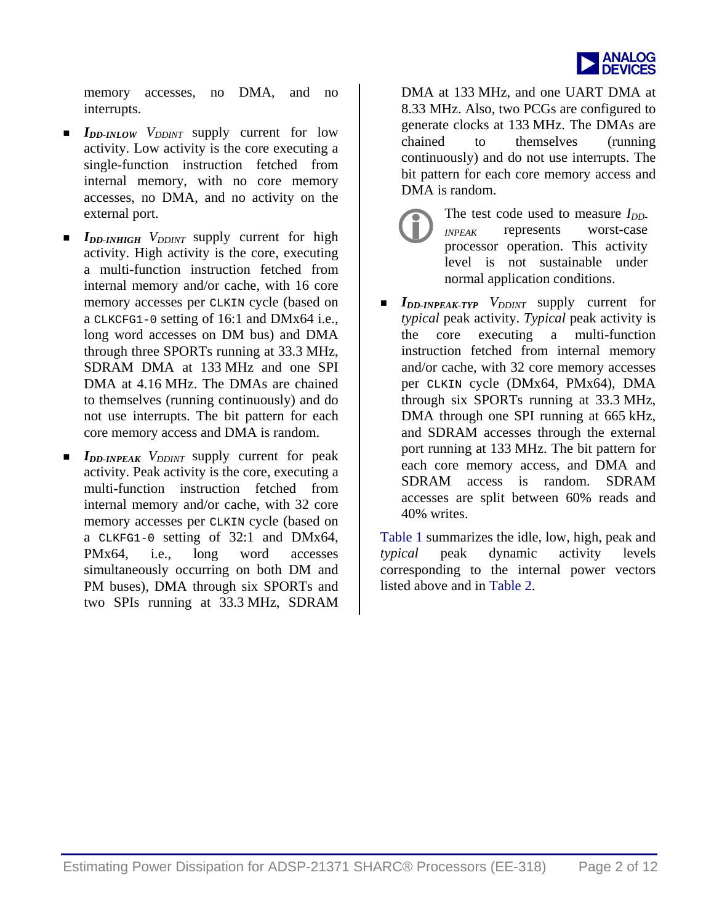

memory accesses, no DMA, and no interrupts.

- *IDD-INLOW V<sub>DDINT</sub>* supply current for low activity. Low activity is the core executing a single-function instruction fetched from internal memory, with no core memory accesses, no DMA, and no activity on the external port.
- *IDD-INHIGH V<sub>DDINT</sub>* supply current for high activity. High activity is the core, executing a multi-function instruction fetched from internal memory and/or cache, with 16 core memory accesses per CLKIN cycle (based on a CLKCFG1-0 setting of 16:1 and DMx64 i.e., long word accesses on DM bus) and DMA through three SPORTs running at 33.3 MHz, SDRAM DMA at 133 MHz and one SPI DMA at 4.16 MHz. The DMAs are chained to themselves (running continuously) and do not use interrupts. The bit pattern for each core memory access and DMA is random.
- *IDD-INPEAK V<sub>DDINT</sub>* supply current for peak activity. Peak activity is the core, executing a multi-function instruction fetched from internal memory and/or cache, with 32 core memory accesses per CLKIN cycle (based on a CLKFG1-0 setting of 32:1 and DMx64, PM<sub>x64</sub>, i.e., long word accesses simultaneously occurring on both DM and PM buses), DMA through six SPORTs and two SPIs running at 33.3 MHz, SDRAM

DMA at 133 MHz, and one UART DMA at 8.33 MHz. Also, two PCGs are configured to generate clocks at 133 MHz. The DMAs are chained to themselves (running continuously) and do not use interrupts. The bit pattern for each core memory access and DMA is random.

- The test code used to measure *I<sub>DD-</sub>*<br> *INPEAK* represents worst-case represents processor operation. This activity level is not sustainable under normal application conditions.
- *IDD-INPEAK-TYP V<sub>DDINT</sub>* supply current for *typical* peak activity. *Typical* peak activity is the core executing a multi-function instruction fetched from internal memory and/or cache, with 32 core memory accesses per CLKIN cycle (DMx64, PMx64), DMA through six SPORTs running at 33.3 MHz, DMA through one SPI running at 665 kHz, and SDRAM accesses through the external port running at 133 MHz. The bit pattern for each core memory access, and DMA and SDRAM access is random. SDRAM accesses are split between 60% reads and 40% writes.

[Table 1](#page-2-0) summarizes the idle, low, high, peak and *typical* peak dynamic activity levels corresponding to the internal power vectors listed above and in [Table 2.](#page-3-0)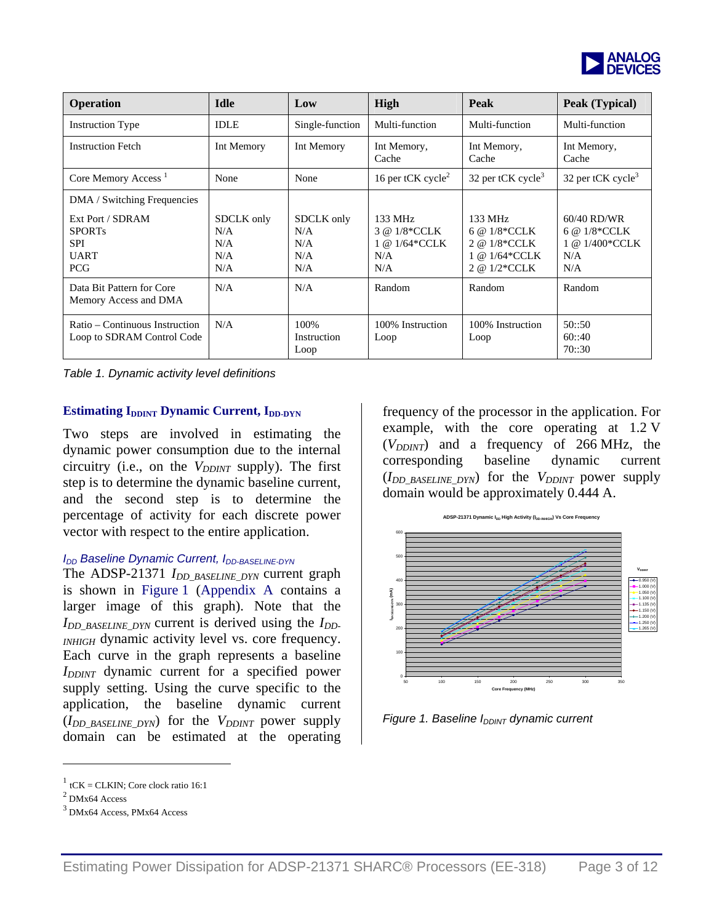

| <b>Operation</b>                                                                                            | <b>Idle</b>                            | Low                                    | High                                                   | Peak                                                                            | Peak (Typical)                                                            |
|-------------------------------------------------------------------------------------------------------------|----------------------------------------|----------------------------------------|--------------------------------------------------------|---------------------------------------------------------------------------------|---------------------------------------------------------------------------|
| <b>Instruction Type</b>                                                                                     | <b>IDLE</b>                            | Single-function                        | Multi-function                                         | Multi-function                                                                  | Multi-function                                                            |
| <b>Instruction Fetch</b>                                                                                    | Int Memory                             | Int Memory                             | Int Memory,<br>Cache                                   | Int Memory,<br>Cache                                                            | Int Memory,<br>Cache                                                      |
| Core Memory Access <sup>1</sup>                                                                             | None                                   | None                                   | 16 per tCK cycle <sup>2</sup>                          | 32 per tCK cycle <sup>3</sup>                                                   | 32 per tCK cycle <sup>3</sup>                                             |
| DMA / Switching Frequencies<br>Ext Port / SDRAM<br><b>SPORTs</b><br><b>SPI</b><br><b>UART</b><br><b>PCG</b> | SDCLK only<br>N/A<br>N/A<br>N/A<br>N/A | SDCLK only<br>N/A<br>N/A<br>N/A<br>N/A | 133 MHz<br>3 @ 1/8*CCLK<br>1 @ 1/64*CCLK<br>N/A<br>N/A | 133 MHz<br>6 @ $1/8*CCLK$<br>2 @ 1/8*CCLK<br>$1 \& 1/64*CCLK$<br>2 @ $1/2*CCLK$ | $60/40$ RD/WR<br>6 @ 1/8*CCLK<br>$1/400*CCLK$<br>$1 \omega$<br>N/A<br>N/A |
| Data Bit Pattern for Core<br>Memory Access and DMA                                                          | N/A                                    | N/A                                    | Random                                                 | Random                                                                          | Random                                                                    |
| Ratio – Continuous Instruction<br>Loop to SDRAM Control Code                                                | N/A                                    | 100\%<br>Instruction<br>Loop           | 100% Instruction<br>Loop                               | 100% Instruction<br>Loop                                                        | 50::50<br>60::40<br>70::30                                                |

<span id="page-2-0"></span>*Table 1. Dynamic activity level definitions* 

#### **Estimating IDDINT Dynamic Current, IDD-DYN**

Two steps are involved in estimating the dynamic power consumption due to the internal circuitry (i.e., on the  $V_{DDINT}$  supply). The first step is to determine the dynamic baseline current, and the second step is to determine the percentage of activity for each discrete power vector with respect to the entire application.

#### *I<sub>DD</sub> Baseline Dynamic Current, I<sub>DD-BASELINE-DYN*</sub>

The ADSP-21371 *I<sub>DD</sub>* BASELINE *DYN* current graph is shown in [Figure 1](#page-2-1) ([Appendix A](#page-8-0) contains a larger image of this graph). Note that the *I<sub>DD\_BASELINE\_DYN* current is derived using the *I<sub>DD</sub>*.</sub> *INHIGH* dynamic activity level vs. core frequency. Each curve in the graph represents a baseline *IDDINT* dynamic current for a specified power supply setting. Using the curve specific to the application, the baseline dynamic current (*I<sub>DD</sub>* BASELINE DYN) for the *V<sub>DDINT</sub>* power supply domain can be estimated at the operating frequency of the processor in the application. For example, with the core operating at 1.2 V  $(V_{DDINT})$  and a frequency of 266 MHz, the corresponding baseline dynamic current  $(I_{DD\ BASELINE\ DYN})$  for the  $V_{DDINT}$  power supply domain would be approximately 0.444 A.

<span id="page-2-1"></span>

*Figure 1. Baseline I<sub>DDINT</sub> dynamic current* 

 $\overline{a}$ 

<span id="page-2-2"></span> $tCK = CLKIN$ ; Core clock ratio 16:1

<span id="page-2-3"></span> $2$  DMx64 Access

<span id="page-2-4"></span><sup>3</sup> DMx64 Access, PMx64 Access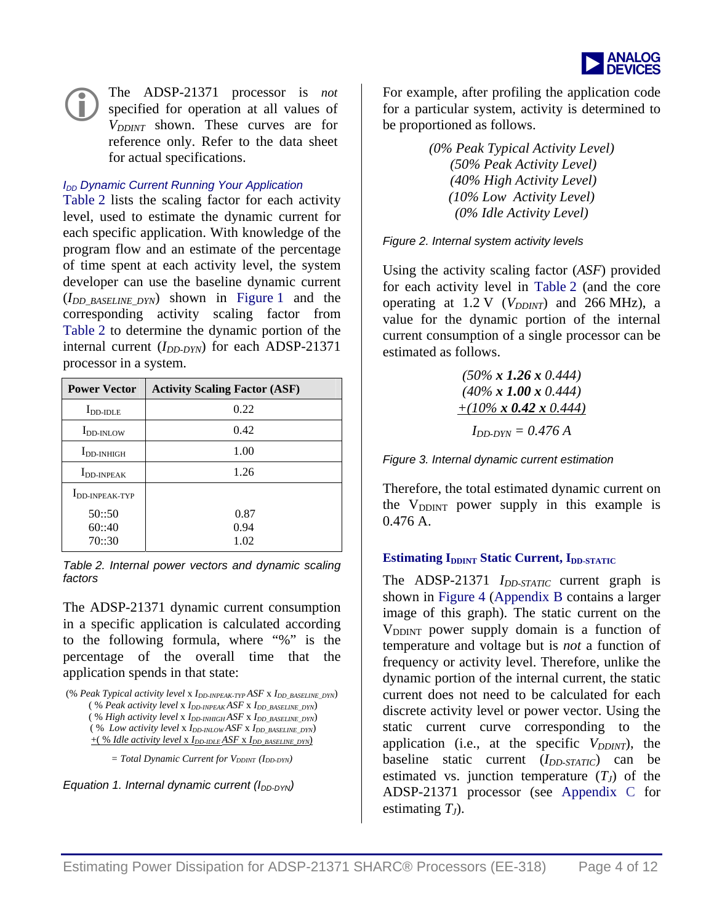

The ADSP-21371 processor is *not*<br>specified for operation at all values of<br>Veget shown. These curves are for specified for operation at all values of  $V_{DDINT}$  shown. These curves are for reference only. Refer to the data sheet for actual specifications.

#### *I<sub>DD</sub> Dynamic Current Running Your Application*

[Table 2](#page-3-0) lists the scaling factor for each activity level, used to estimate the dynamic current for each specific application. With knowledge of the program flow and an estimate of the percentage of time spent at each activity level, the system developer can use the baseline dynamic current (*IDD\_BASELINE\_DYN*) shown in [Figure 1](#page-2-1) and the corresponding activity scaling factor from [Table 2](#page-3-0) to determine the dynamic portion of the internal current  $(I_{DD-DYN})$  for each ADSP-21371 processor in a system.

| <b>Power Vector</b>               | <b>Activity Scaling Factor (ASF)</b> |
|-----------------------------------|--------------------------------------|
| $I_{\text{DD-IDLE}}$              | 0.22                                 |
| $I_{DD-INI,OW}$                   | 0.42                                 |
| $I_{DD\text{-}INHIGH}$            | 1.00                                 |
| $I_{DD-INPEAK}$                   | 1.26                                 |
| $I_{DD\text{-}INPEAK\text{-}TYP}$ |                                      |
| 50::50                            | 0.87                                 |
| 60:40                             | 0.94                                 |
| 70::30                            | 1.02                                 |

<span id="page-3-0"></span>*Table 2. Internal power vectors and dynamic scaling factors* 

The ADSP-21371 dynamic current consumption in a specific application is calculated according to the following formula, where "%" is the percentage of the overall time that the application spends in that state:

(% *Peak Typical activity level* x *IDD-INPEAK-TYP ASF* x *IDD\_BASELINE\_DYN*) ( % *Peak activity level* x *IDD-INPEAK ASF* x *IDD\_BASELINE\_DYN*) ( % *High activity level* x *IDD-INHIGH ASF* x *IDD\_BASELINE\_DYN*) ( % *Low activity level* x *IDD-INLOW ASF* x *IDD\_BASELINE\_DYN*) +( % *Idle activity level* x *IDD-IDLE ASF* x *IDD\_BASELINE\_DYN*)

 $= Total Dynamic Current for V<sub>DDINT</sub> (I<sub>DD-DYN</sub>)$ 

Equation 1. Internal dynamic current (I<sub>DD-DYN</sub>)

For example, after profiling the application code for a particular system, activity is determined to be proportioned as follows.

> *(0% Peak Typical Activity Level) (50% Peak Activity Level) (40% High Activity Level) (10% Low Activity Level) (0% Idle Activity Level)*

<span id="page-3-1"></span>*Figure 2. Internal system activity levels* 

Using the activity scaling factor (*ASF*) provided for each activity level in [Table 2](#page-3-0) (and the core operating at  $1.2$  V ( $V_{DDINT}$ ) and 266 MHz), a value for the dynamic portion of the internal current consumption of a single processor can be estimated as follows.

> *(50% x 1.26 x 0.444) (40% x 1.00 x 0.444) +(10% x 0.42 x 0.444)*  $I_{DD-DYN} = 0.476 A$

*Figure 3. Internal dynamic current estimation* 

Therefore, the total estimated dynamic current on the  $V_{DDINT}$  power supply in this example is 0.476 A.

#### **Estimating IDDINT Static Current, IDD-STATIC**

The ADSP-21371 *I<sub>DD-STATIC</sub>* current graph is shown in [Figure 4](#page-4-0) ([Appendix B](#page-8-1) contains a larger image of this graph). The static current on the  $V_{DDINT}$  power supply domain is a function of temperature and voltage but is *not* a function of frequency or activity level. Therefore, unlike the dynamic portion of the internal current, the static current does not need to be calculated for each discrete activity level or power vector. Using the static current curve corresponding to the application (i.e., at the specific  $V_{DDINT}$ ), the baseline static current (*I<sub>DD-STATIC</sub>*) can be estimated vs. junction temperature  $(T<sub>I</sub>)$  of the ADSP-21371 processor (see [Appendix C](#page-10-0) for estimating  $T_I$ ).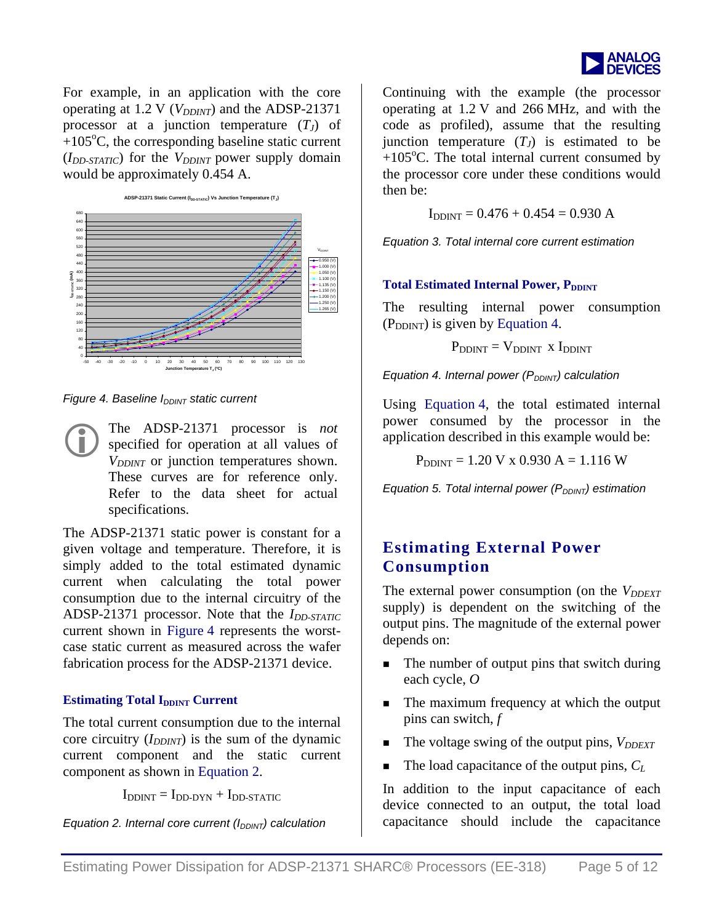

For example, in an application with the core operating at 1.2 V  $(V_{DDINT})$  and the ADSP-21371 processor at a junction temperature  $(T_I)$  of  $+105^{\circ}$ C, the corresponding baseline static current (*I<sub>DD-STATIC*) for the *V<sub>DDINT</sub>* power supply domain</sub> would be approximately 0.454 A.

<span id="page-4-0"></span>

*Figure 4. Baseline I<sub>DDINT</sub> static current* 

LThe ADSP-21371 processor is *not* specified for operation at all values of *V<sub>DDINT</sub>* or junction temperatures shown. These curves are for reference only. Refer to the data sheet for actual specifications.

The ADSP-21371 static power is constant for a given voltage and temperature. Therefore, it is simply added to the total estimated dynamic current when calculating the total power consumption due to the internal circuitry of the ADSP-21371 processor. Note that the *I<sub>DD-STATIC</sub>* current shown in [Figure 4](#page-4-0) represents the worstcase static current as measured across the wafer fabrication process for the ADSP-21371 device.

#### **Estimating Total IDDINT Current**

The total current consumption due to the internal core circuitry  $(I_{DDINT})$  is the sum of the dynamic current component and the static current component as shown in [Equation 2.](#page-4-1)

 $I_{DDINT} = I_{DD-DYN} + I_{DD-STATIC}$ 

<span id="page-4-1"></span>*Equation 2. Internal core current (I<sub>DDINT</sub>) calculation* 

Continuing with the example (the processor operating at 1.2 V and 266 MHz, and with the code as profiled), assume that the resulting junction temperature  $(T<sub>J</sub>)$  is estimated to be  $+105^{\circ}$ C. The total internal current consumed by the processor core under these conditions would then be:

$$
I_{DDINT} = 0.476 + 0.454 = 0.930 A
$$

*Equation 3. Total internal core current estimation* 

#### **Total Estimated Internal Power, PDDINT**

The resulting internal power consumption  $(P_{DDINT})$  is given by [Equation 4.](#page-4-2)

 $P_{DDINT} = V_{DDINT}$  x  $I_{DDINT}$ 

<span id="page-4-2"></span>*Equation 4. Internal power (P<sub>DDINT</sub>) calculation* 

Using [Equation 4,](#page-4-2) the total estimated internal power consumed by the processor in the application described in this example would be:

 $P_{DDINT} = 1.20 V x 0.930 A = 1.116 W$ 

<span id="page-4-3"></span>*Equation 5. Total internal power (P<sub>DDINT</sub>) estimation* 

# **Estimating External Power Consumption**

The external power consumption (on the *V<sub>DDEXT</sub>* supply) is dependent on the switching of the output pins. The magnitude of the external power depends on:

- The number of output pins that switch during each cycle, *O*
- The maximum frequency at which the output pins can switch, *f*
- $\blacksquare$  The voltage swing of the output pins,  $V_{DDEXT}$
- The load capacitance of the output pins,  $C_L$

In addition to the input capacitance of each device connected to an output, the total load capacitance should include the capacitance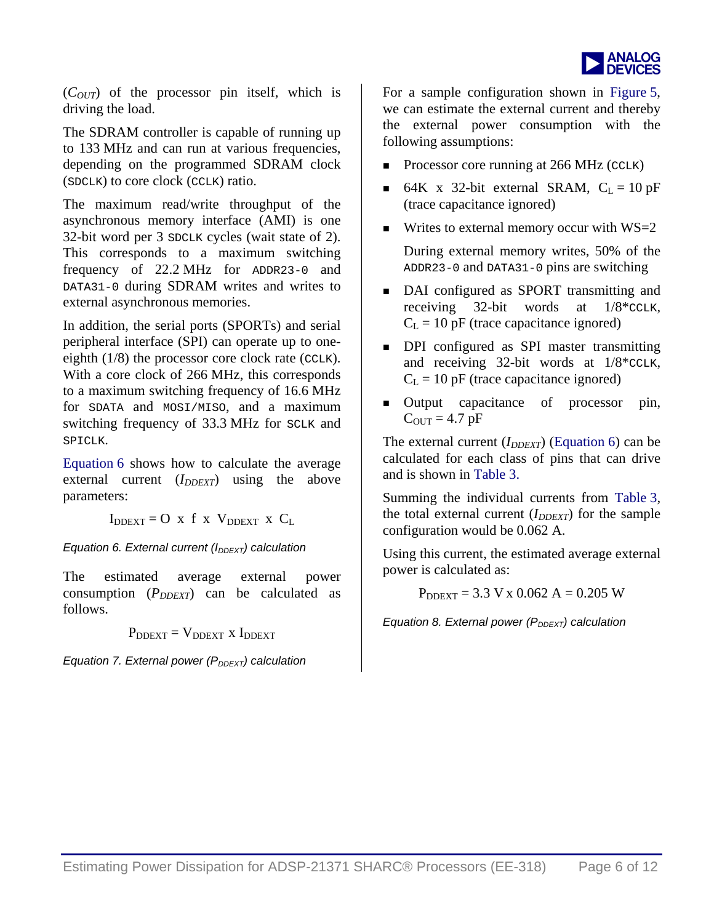

 $(C_{OUT})$  of the processor pin itself, which is driving the load.

The SDRAM controller is capable of running up to 133 MHz and can run at various frequencies, depending on the programmed SDRAM clock (SDCLK) to core clock (CCLK) ratio.

The maximum read/write throughput of the asynchronous memory interface (AMI) is one 32-bit word per 3 SDCLK cycles (wait state of 2). This corresponds to a maximum switching frequency of 22.2 MHz for ADDR23-0 and DATA31-0 during SDRAM writes and writes to external asynchronous memories.

In addition, the serial ports (SPORTs) and serial peripheral interface (SPI) can operate up to oneeighth (1/8) the processor core clock rate (CCLK). With a core clock of 266 MHz, this corresponds to a maximum switching frequency of 16.6 MHz for SDATA and MOSI/MISO, and a maximum switching frequency of 33.3 MHz for SCLK and SPICLK.

[Equation 6](#page-5-0) shows how to calculate the average external current (*I<sub>DDEXT</sub>*) using the above parameters:

 $I_{\text{DDEXT}} = O \times f \times V_{\text{DDEXT}} \times C_L$ 

<span id="page-5-0"></span>*Equation 6. External current (I<sub>DDEXT</sub>) calculation* 

The estimated average external power consumption ( $P_{DDEXT}$ ) can be calculated as follows.

 $P_{\text{DDEXT}} = V_{\text{DDEXT}}$  x  $I_{\text{DDEXT}}$ 

*Equation 7. External power (P<sub>DDEXT</sub>) calculation* 

For a sample configuration shown in [Figure 5,](#page-6-0) we can estimate the external current and thereby the external power consumption with the following assumptions:

- Processor core running at 266 MHz (CCLK)
- 64K x 32-bit external SRAM,  $C_L = 10$  pF (trace capacitance ignored)
- Writes to external memory occur with  $WS=2$

During external memory writes, 50% of the ADDR23-0 and DATA31-0 pins are switching

- DAI configured as SPORT transmitting and receiving 32-bit words at  $1/8$ <sup>\*</sup>CCLK,  $C_L = 10$  pF (trace capacitance ignored)
- **DPI** configured as SPI master transmitting and receiving 32-bit words at 1/8\*CCLK,  $C_{L} = 10$  pF (trace capacitance ignored)
- **Dutput** capacitance of processor pin,  $C_{\text{OUT}} = 4.7 \text{ pF}$

The external current  $(I_{\text{DDEXT}})$  ([Equation 6\)](#page-5-0) can be calculated for each class of pins that can drive and is shown in [Table 3.](#page-6-1)

Summing the individual currents from [Table 3,](#page-6-1) the total external current  $(I_{\text{DDEXT}})$  for the sample configuration would be 0.062 A.

Using this current, the estimated average external power is calculated as:

 $P_{\text{DDEXT}} = 3.3 \text{ V x } 0.062 \text{ A} = 0.205 \text{ W}$ 

<span id="page-5-1"></span>*Equation 8. External power (P<sub>DDEXT</sub>) calculation*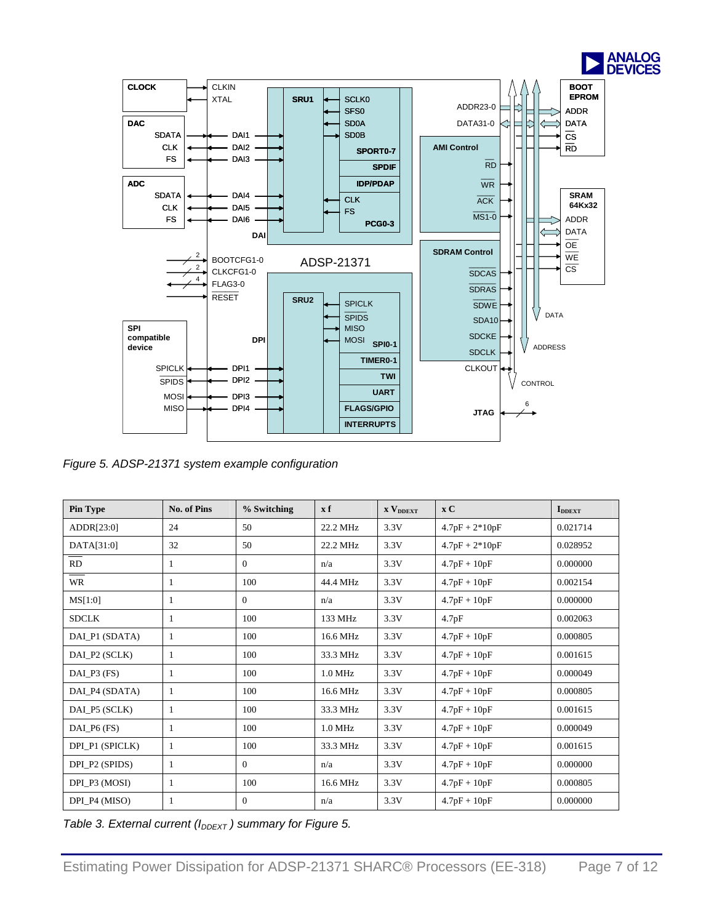<span id="page-6-0"></span>

*Figure 5. ADSP-21371 system example configuration* 

| <b>Pin Type</b> | No. of Pins | % Switching    | $\mathbf{x}$ f | <b>x</b> V <sub>DDEXT</sub> | x C              | $I_{\rm DDEXT}$ |
|-----------------|-------------|----------------|----------------|-----------------------------|------------------|-----------------|
| ADDR[23:0]      | 24          | 50             | 22.2 MHz       | 3.3V                        | $4.7pF + 2*10pF$ | 0.021714        |
| DATA[31:0]      | 32          | 50             | 22.2 MHz       | 3.3V                        | $4.7pF + 2*10pF$ | 0.028952        |
| RD              | 1           | $\overline{0}$ | n/a            | 3.3V                        | $4.7pF + 10pF$   | 0.000000        |
| <b>WR</b>       | 1           | 100            | 44.4 MHz       | 3.3V                        | $4.7pF + 10pF$   | 0.002154        |
| MS[1:0]         | 1           | $\theta$       | n/a            | 3.3V                        | $4.7pF + 10pF$   | 0.000000        |
| <b>SDCLK</b>    | 1           | 100            | 133 MHz        | 3.3V                        | 4.7pF            | 0.002063        |
| DAI_P1 (SDATA)  | 1           | 100            | 16.6 MHz       | 3.3V                        | $4.7pF + 10pF$   | 0.000805        |
| DAI_P2 (SCLK)   | 1           | 100            | 33.3 MHz       | 3.3V                        | $4.7pF + 10pF$   | 0.001615        |
| $DAL_P3$ (FS)   | 1           | 100            | 1.0 MHz        | 3.3V                        | $4.7pF + 10pF$   | 0.000049        |
| DAL P4 (SDATA)  | -1          | 100            | 16.6 MHz       | 3.3V                        | $4.7pF + 10pF$   | 0.000805        |
| DAI_P5 (SCLK)   | 1           | 100            | 33.3 MHz       | 3.3V                        | $4.7pF + 10pF$   | 0.001615        |
| $DAI_P6(FS)$    | 1           | 100            | $1.0$ MHz      | 3.3V                        | $4.7pF + 10pF$   | 0.000049        |
| DPI_P1 (SPICLK) | 1           | 100            | 33.3 MHz       | 3.3V                        | $4.7pF + 10pF$   | 0.001615        |
| DPI_P2 (SPIDS)  | 1           | $\theta$       | n/a            | 3.3V                        | $4.7pF + 10pF$   | 0.000000        |
| DPI_P3 (MOSI)   | 1           | 100            | 16.6 MHz       | 3.3V                        | $4.7pF + 10pF$   | 0.000805        |
| DPI_P4 (MISO)   | 1           | $\theta$       | n/a            | 3.3V                        | $4.7pF + 10pF$   | 0.000000        |

<span id="page-6-1"></span>*Table 3. External current (I<sub>DDEXT</sub>) summary for Figure 5.*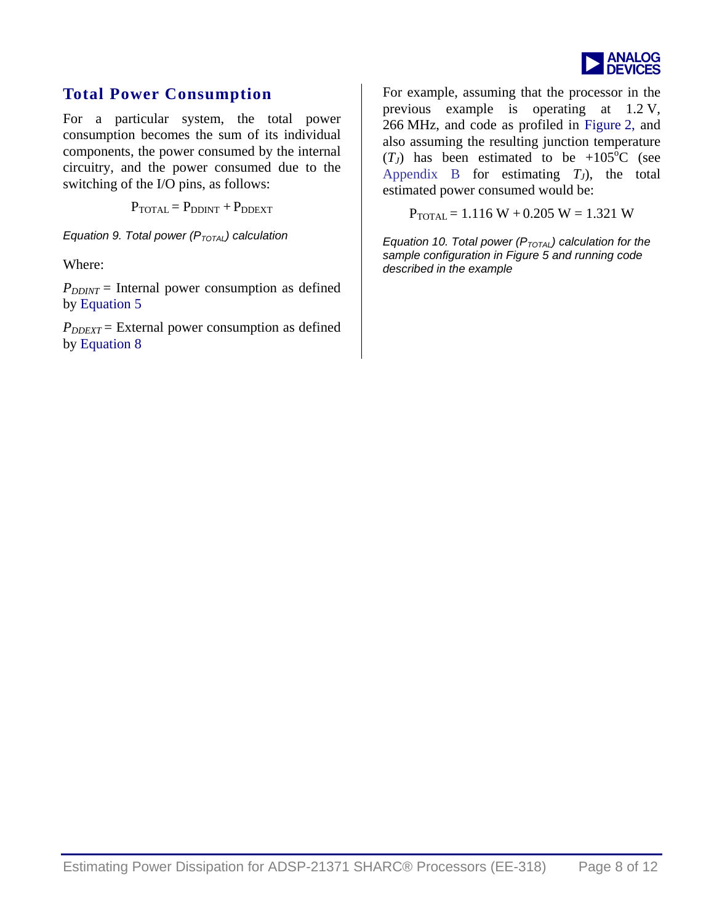

## **Total Power Consumption**

For a particular system, the total power consumption becomes the sum of its individual components, the power consumed by the internal circuitry, and the power consumed due to the switching of the I/O pins, as follows:

 $P_{\text{TOTAL}} = P_{\text{DDINT}} + P_{\text{DDEXT}}$ 

<span id="page-7-0"></span>*Equation 9. Total power (P<sub>TOTAL</sub>) calculation* 

Where:

 $P_{DDINT}$  = Internal power consumption as defined by [Equation 5](#page-4-3) 

 $P_{DDEXT}$  = External power consumption as defined by [Equation 8](#page-5-1) 

For example, assuming that the processor in the previous example is operating at 1.2 V, 266 MHz, and code as profiled in [Figure 2,](#page-3-1) and also assuming the resulting junction temperature  $(T_J)$  has been estimated to be +105<sup>o</sup>C (see [Appendix B](#page-9-0) for estimating  $T<sub>J</sub>$ , the total estimated power consumed would be:

 $P_{\text{TOTAL}} = 1.116 \text{ W} + 0.205 \text{ W} = 1.321 \text{ W}$ 

*Equation 10. Total power*  $(P_{\text{TOTAL}})$  *calculation for the sample configuration in Figure 5 and running code described in the example*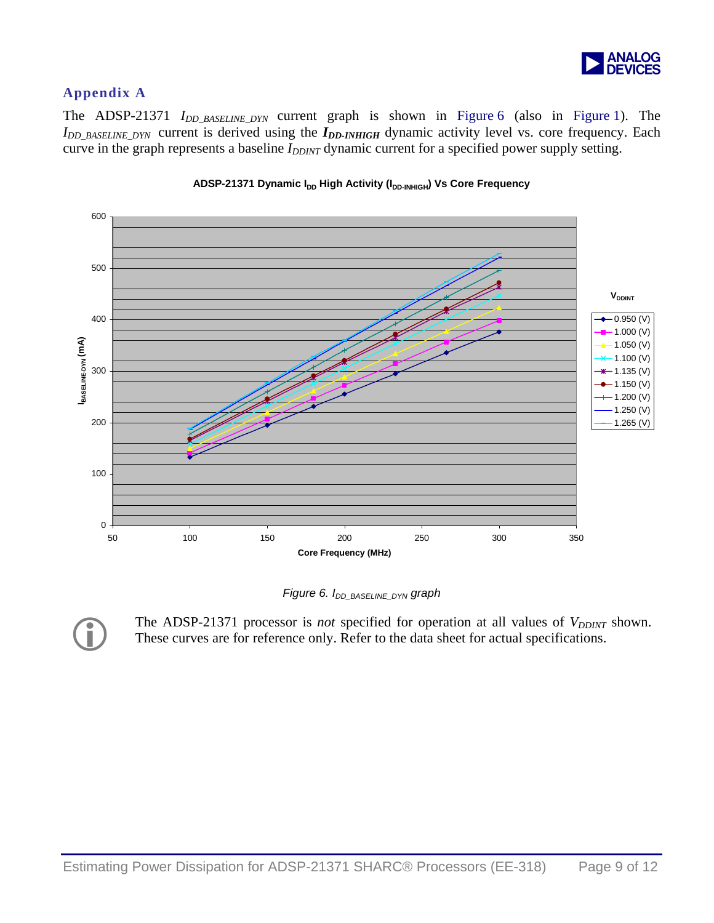

#### **Appendix A**

<span id="page-8-0"></span>The ADSP-21371 *IDD\_BASELINE*\_*DYN* current graph is shown in [Figure 6](#page-8-2) (also in [Figure 1\)](#page-2-1). The *I<sub>DD\_BASELINE\_DYN</sub>* current is derived using the *I<sub>DD-INHIGH</sub>* dynamic activity level vs. core frequency. Each curve in the graph represents a baseline *I<sub>DDINT</sub>* dynamic current for a specified power supply setting.



#### <span id="page-8-2"></span>ADSP-21371 Dynamic I<sub>DD</sub> High Activity (I<sub>DD-INHIGH</sub>) Vs Core Frequency

*Figure 6. IDD\_BASELINE\_DYN graph* 

<span id="page-8-1"></span>

The ADSP-21371 processor is *not* specified for operation at all values of *V<sub>DDINT</sub>* shown. These curves are for reference only. Refer to the data sheet for actual specifications.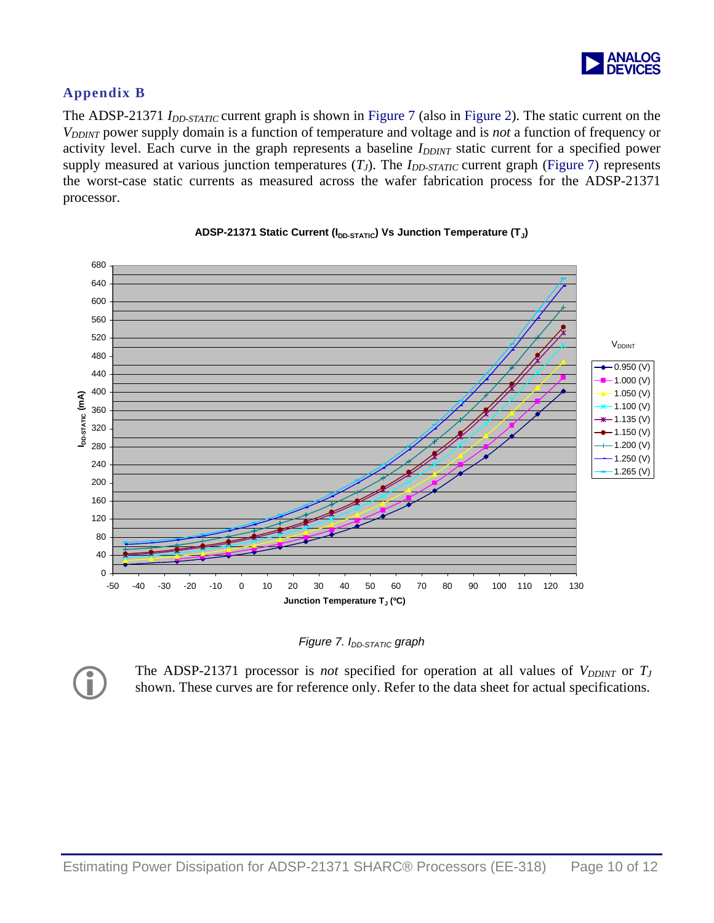

#### <span id="page-9-0"></span>**Appendix B**

The ADSP-21371 *I<sub>DD-STATIC</sub>* current graph is shown in [Figure 7](#page-9-1) (also in [Figure 2\)](#page-3-1). The static current on the *V<sub>DDINT</sub>* power supply domain is a function of temperature and voltage and is *not* a function of frequency or activity level. Each curve in the graph represents a baseline *I<sub>DDINT</sub>* static current for a specified power supply measured at various junction temperatures  $(T_J)$ . The  $I_{DD-STATIC}$  current graph ([Figure 7\)](#page-9-1) represents the worst-case static currents as measured across the wafer fabrication process for the ADSP-21371 processor.



#### <span id="page-9-1"></span>ADSP-21371 Static Current (I<sub>DD-STATIC</sub>) Vs Junction Temperature (T<sub>J</sub>)



The ADSP-21371 processor is *not* specified for operation at all values of  $V_{DDINT}$  or  $T_J$ shown. These curves are for reference only. Refer to the data sheet for actual specifications.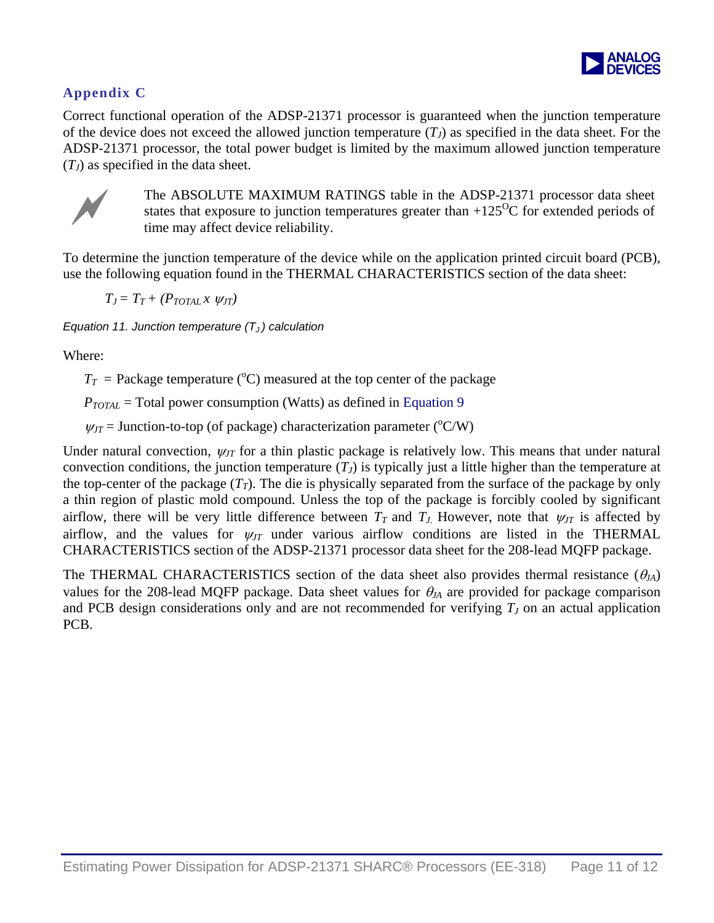

### <span id="page-10-0"></span>**Appendix C**

Correct functional operation of the ADSP-21371 processor is guaranteed when the junction temperature of the device does not exceed the allowed junction temperature  $(T_J)$  as specified in the data sheet. For the ADSP-21371 processor, the total power budget is limited by the maximum allowed junction temperature  $(T_J)$  as specified in the data sheet.



The ABSOLUTE MAXIMUM RATINGS table in the ADSP-21371 processor data sheet states that exposure to junction temperatures greater than  $+125^{\circ}$ C for extended periods of time may affect device reliability. states that exposure to junction temperatures greater than  $+125^{\circ}$ C for extended periods of time may affect device reliability.

To determine the junction temperature of the device while on the application printed circuit board (PCB), use the following equation found in the THERMAL CHARACTERISTICS section of the data sheet:

 $T_J = T_T + (P_{TOTAL} x \psi_{JT})$ 

*Equation 11. Junction temperature*  $(T_J)$  calculation

Where:

 $T_T$  = Package temperature (<sup>o</sup>C) measured at the top center of the package

*PTOTAL* = Total power consumption (Watts) as defined in [Equation 9](#page-7-0) 

 $\psi_{JT}$  = Junction-to-top (of package) characterization parameter ( $\rm ^{o}C/W$ )

Under natural convection,  $\psi_{JT}$  for a thin plastic package is relatively low. This means that under natural convection conditions, the junction temperature  $(T_J)$  is typically just a little higher than the temperature at the top-center of the package  $(T_T)$ . The die is physically separated from the surface of the package by only a thin region of plastic mold compound. Unless the top of the package is forcibly cooled by significant airflow, there will be very little difference between  $T_T$  and  $T_J$ . However, note that  $\psi_{JT}$  is affected by airflow, and the values for  $\psi_{IT}$  under various airflow conditions are listed in the THERMAL CHARACTERISTICS section of the ADSP-21371 processor data sheet for the 208-lead MQFP package.

The THERMAL CHARACTERISTICS section of the data sheet also provides thermal resistance (θ*JA*) values for the 208-lead MQFP package. Data sheet values for  $\theta_{JA}$  are provided for package comparison and PCB design considerations only and are not recommended for verifying  $T_J$  on an actual application PCB.